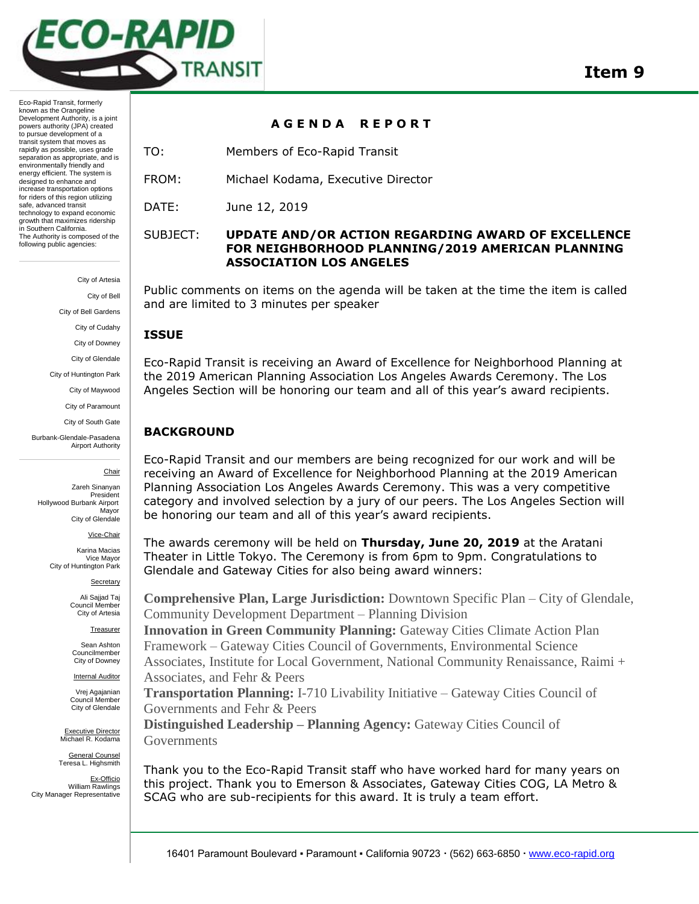

Eco-Rapid Transit, formerly known as the Orangeline Development Authority, is a joint powers authority (JPA) created to pursue development of a transit system that moves as rapidly as possible, uses grade separation as appropriate, and is environmentally friendly and energy efficient. The system is designed to enhance and increase transportation options for riders of this region utilizing safe, advanced transit technology to expand economic growth that maximizes ridership in Southern California. The Authority is composed of the following public agencies:

City of Artesia

City of Bell

City of Bell Gardens

City of Cudahy

City of Downey

City of Glendale

City of Huntington Park City of Maywood

City of Paramount

City of South Gate

Burbank-Glendale-Pasadena Airport Authority

Chair

Zareh Sinanyan President Hollywood Burbank Airport Mayor City of Glendale

Vice-Chair

Karina Macias Vice Mayor City of Huntington Park

Secretary

Ali Sajjad Taj Council Member City of Artesia

**Treasurer** 

Sean Ashton Councilmember City of Downey

**Internal Auditor** Vrej Agajanian

Council Member City of Glendale

Executive Director Michael R. Kodama

General Counsel Teresa L. Highsmith

Ex-Officio William Rawlings City Manager Representative

**A G E N D A R E P O R T** 

TO: Members of Eco-Rapid Transit

FROM: Michael Kodama, Executive Director

DATE: June 12, 2019

### SUBJECT: **UPDATE AND/OR ACTION REGARDING AWARD OF EXCELLENCE FOR NEIGHBORHOOD PLANNING/2019 AMERICAN PLANNING ASSOCIATION LOS ANGELES**

Public comments on items on the agenda will be taken at the time the item is called and are limited to 3 minutes per speaker

### **ISSUE**

Eco-Rapid Transit is receiving an Award of Excellence for Neighborhood Planning at the 2019 American Planning Association Los Angeles Awards Ceremony. The Los Angeles Section will be honoring our team and all of this year's award recipients.

# **BACKGROUND**

Eco-Rapid Transit and our members are being recognized for our work and will be receiving an Award of Excellence for Neighborhood Planning at the 2019 American Planning Association Los Angeles Awards Ceremony. This was a very competitive category and involved selection by a jury of our peers. The Los Angeles Section will be honoring our team and all of this year's award recipients.

The awards ceremony will be held on **Thursday, June 20, 2019** at the Aratani Theater in Little Tokyo. The Ceremony is from 6pm to 9pm. Congratulations to Glendale and Gateway Cities for also being award winners:

**Comprehensive Plan, Large Jurisdiction:** Downtown Specific Plan – City of Glendale, Community Development Department – Planning Division

**Innovation in Green Community Planning:** Gateway Cities Climate Action Plan Framework – Gateway Cities Council of Governments, Environmental Science Associates, Institute for Local Government, National Community Renaissance, Raimi + Associates, and Fehr & Peers

**Transportation Planning:** I-710 Livability Initiative – Gateway Cities Council of Governments and Fehr & Peers

**Distinguished Leadership – Planning Agency:** Gateway Cities Council of Governments

Thank you to the Eco-Rapid Transit staff who have worked hard for many years on this project. Thank you to Emerson & Associates, Gateway Cities COG, LA Metro & SCAG who are sub-recipients for this award. It is truly a team effort.